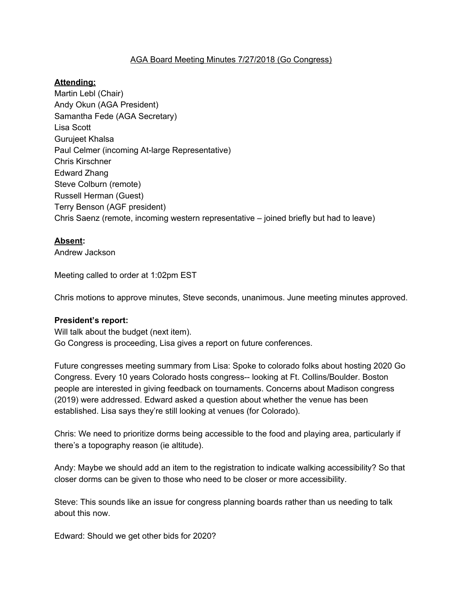# AGA Board Meeting Minutes 7/27/2018 (Go Congress)

# **Attending:**

Martin Lebl (Chair) Andy Okun (AGA President) Samantha Fede (AGA Secretary) Lisa Scott Gurujeet Khalsa Paul Celmer (incoming At-large Representative) Chris Kirschner Edward Zhang Steve Colburn (remote) Russell Herman (Guest) Terry Benson (AGF president) Chris Saenz (remote, incoming western representative – joined briefly but had to leave)

### **Absent:**

Andrew Jackson

Meeting called to order at 1:02pm EST

Chris motions to approve minutes, Steve seconds, unanimous. June meeting minutes approved.

#### **President's report:**

Will talk about the budget (next item). Go Congress is proceeding, Lisa gives a report on future conferences.

Future congresses meeting summary from Lisa: Spoke to colorado folks about hosting 2020 Go Congress. Every 10 years Colorado hosts congress-- looking at Ft. Collins/Boulder. Boston people are interested in giving feedback on tournaments. Concerns about Madison congress (2019) were addressed. Edward asked a question about whether the venue has been established. Lisa says they're still looking at venues (for Colorado).

Chris: We need to prioritize dorms being accessible to the food and playing area, particularly if there's a topography reason (ie altitude).

Andy: Maybe we should add an item to the registration to indicate walking accessibility? So that closer dorms can be given to those who need to be closer or more accessibility.

Steve: This sounds like an issue for congress planning boards rather than us needing to talk about this now.

Edward: Should we get other bids for 2020?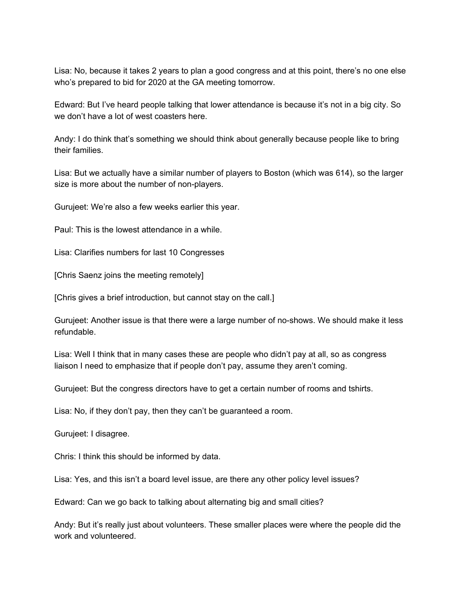Lisa: No, because it takes 2 years to plan a good congress and at this point, there's no one else who's prepared to bid for 2020 at the GA meeting tomorrow.

Edward: But I've heard people talking that lower attendance is because it's not in a big city. So we don't have a lot of west coasters here.

Andy: I do think that's something we should think about generally because people like to bring their families.

Lisa: But we actually have a similar number of players to Boston (which was 614), so the larger size is more about the number of non-players.

Gurujeet: We're also a few weeks earlier this year.

Paul: This is the lowest attendance in a while.

Lisa: Clarifies numbers for last 10 Congresses

[Chris Saenz joins the meeting remotely]

[Chris gives a brief introduction, but cannot stay on the call.]

Gurujeet: Another issue is that there were a large number of no-shows. We should make it less refundable.

Lisa: Well I think that in many cases these are people who didn't pay at all, so as congress liaison I need to emphasize that if people don't pay, assume they aren't coming.

Gurujeet: But the congress directors have to get a certain number of rooms and tshirts.

Lisa: No, if they don't pay, then they can't be guaranteed a room.

Gurujeet: I disagree.

Chris: I think this should be informed by data.

Lisa: Yes, and this isn't a board level issue, are there any other policy level issues?

Edward: Can we go back to talking about alternating big and small cities?

Andy: But it's really just about volunteers. These smaller places were where the people did the work and volunteered.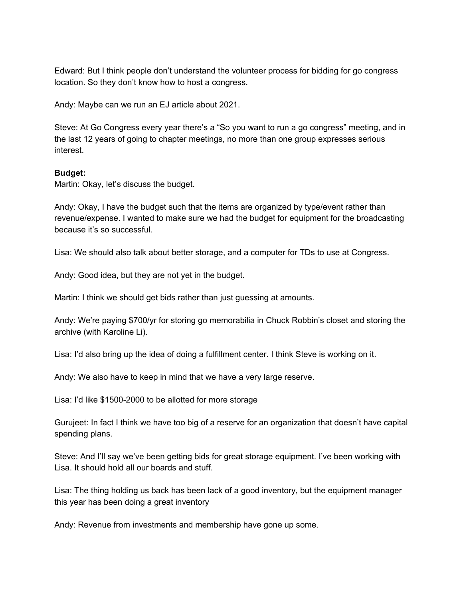Edward: But I think people don't understand the volunteer process for bidding for go congress location. So they don't know how to host a congress.

Andy: Maybe can we run an EJ article about 2021.

Steve: At Go Congress every year there's a "So you want to run a go congress" meeting, and in the last 12 years of going to chapter meetings, no more than one group expresses serious interest.

### **Budget:**

Martin: Okay, let's discuss the budget.

Andy: Okay, I have the budget such that the items are organized by type/event rather than revenue/expense. I wanted to make sure we had the budget for equipment for the broadcasting because it's so successful.

Lisa: We should also talk about better storage, and a computer for TDs to use at Congress.

Andy: Good idea, but they are not yet in the budget.

Martin: I think we should get bids rather than just guessing at amounts.

Andy: We're paying \$700/yr for storing go memorabilia in Chuck Robbin's closet and storing the archive (with Karoline Li).

Lisa: I'd also bring up the idea of doing a fulfillment center. I think Steve is working on it.

Andy: We also have to keep in mind that we have a very large reserve.

Lisa: I'd like \$1500-2000 to be allotted for more storage

Gurujeet: In fact I think we have too big of a reserve for an organization that doesn't have capital spending plans.

Steve: And I'll say we've been getting bids for great storage equipment. I've been working with Lisa. It should hold all our boards and stuff.

Lisa: The thing holding us back has been lack of a good inventory, but the equipment manager this year has been doing a great inventory

Andy: Revenue from investments and membership have gone up some.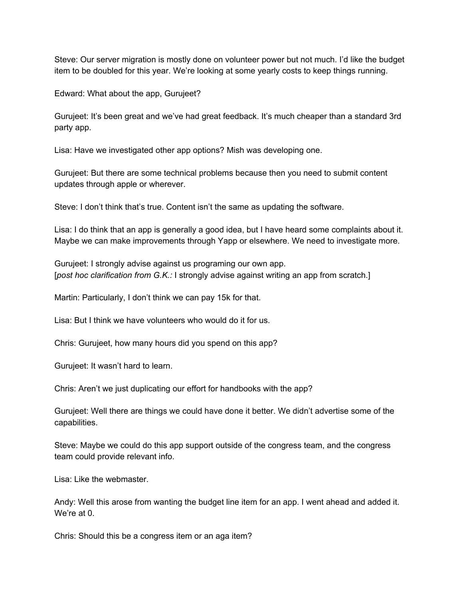Steve: Our server migration is mostly done on volunteer power but not much. I'd like the budget item to be doubled for this year. We're looking at some yearly costs to keep things running.

Edward: What about the app, Gurujeet?

Gurujeet: It's been great and we've had great feedback. It's much cheaper than a standard 3rd party app.

Lisa: Have we investigated other app options? Mish was developing one.

Gurujeet: But there are some technical problems because then you need to submit content updates through apple or wherever.

Steve: I don't think that's true. Content isn't the same as updating the software.

Lisa: I do think that an app is generally a good idea, but I have heard some complaints about it. Maybe we can make improvements through Yapp or elsewhere. We need to investigate more.

Gurujeet: I strongly advise against us programing our own app. [*post hoc clarification from G.K.:* I strongly advise against writing an app from scratch.]

Martin: Particularly, I don't think we can pay 15k for that.

Lisa: But I think we have volunteers who would do it for us.

Chris: Gurujeet, how many hours did you spend on this app?

Gurujeet: It wasn't hard to learn.

Chris: Aren't we just duplicating our effort for handbooks with the app?

Gurujeet: Well there are things we could have done it better. We didn't advertise some of the capabilities.

Steve: Maybe we could do this app support outside of the congress team, and the congress team could provide relevant info.

Lisa: Like the webmaster.

Andy: Well this arose from wanting the budget line item for an app. I went ahead and added it. We're at 0.

Chris: Should this be a congress item or an aga item?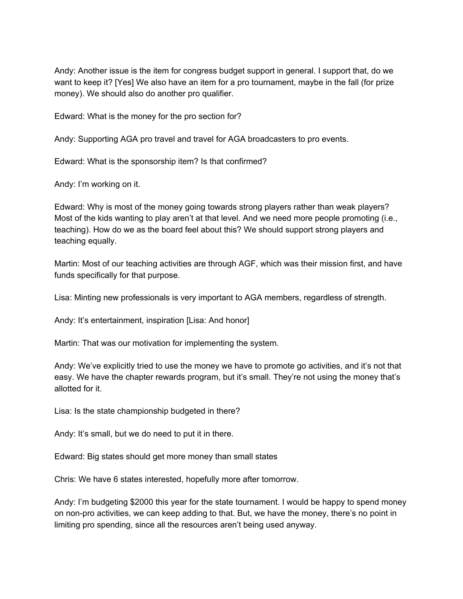Andy: Another issue is the item for congress budget support in general. I support that, do we want to keep it? [Yes] We also have an item for a pro tournament, maybe in the fall (for prize money). We should also do another pro qualifier.

Edward: What is the money for the pro section for?

Andy: Supporting AGA pro travel and travel for AGA broadcasters to pro events.

Edward: What is the sponsorship item? Is that confirmed?

Andy: I'm working on it.

Edward: Why is most of the money going towards strong players rather than weak players? Most of the kids wanting to play aren't at that level. And we need more people promoting (i.e., teaching). How do we as the board feel about this? We should support strong players and teaching equally.

Martin: Most of our teaching activities are through AGF, which was their mission first, and have funds specifically for that purpose.

Lisa: Minting new professionals is very important to AGA members, regardless of strength.

Andy: It's entertainment, inspiration [Lisa: And honor]

Martin: That was our motivation for implementing the system.

Andy: We've explicitly tried to use the money we have to promote go activities, and it's not that easy. We have the chapter rewards program, but it's small. They're not using the money that's allotted for it.

Lisa: Is the state championship budgeted in there?

Andy: It's small, but we do need to put it in there.

Edward: Big states should get more money than small states

Chris: We have 6 states interested, hopefully more after tomorrow.

Andy: I'm budgeting \$2000 this year for the state tournament. I would be happy to spend money on non-pro activities, we can keep adding to that. But, we have the money, there's no point in limiting pro spending, since all the resources aren't being used anyway.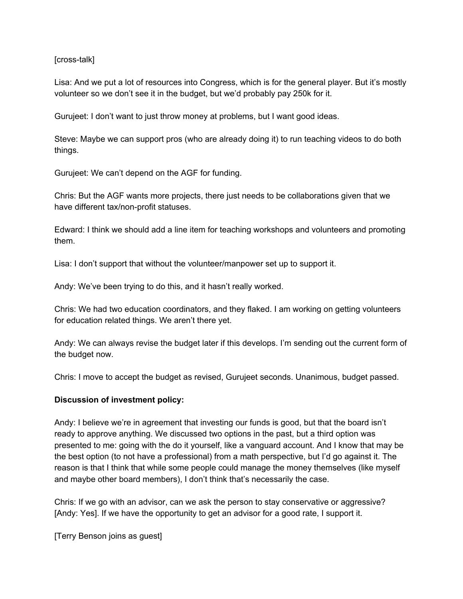[cross-talk]

Lisa: And we put a lot of resources into Congress, which is for the general player. But it's mostly volunteer so we don't see it in the budget, but we'd probably pay 250k for it.

Gurujeet: I don't want to just throw money at problems, but I want good ideas.

Steve: Maybe we can support pros (who are already doing it) to run teaching videos to do both things.

Gurujeet: We can't depend on the AGF for funding.

Chris: But the AGF wants more projects, there just needs to be collaborations given that we have different tax/non-profit statuses.

Edward: I think we should add a line item for teaching workshops and volunteers and promoting them.

Lisa: I don't support that without the volunteer/manpower set up to support it.

Andy: We've been trying to do this, and it hasn't really worked.

Chris: We had two education coordinators, and they flaked. I am working on getting volunteers for education related things. We aren't there yet.

Andy: We can always revise the budget later if this develops. I'm sending out the current form of the budget now.

Chris: I move to accept the budget as revised, Gurujeet seconds. Unanimous, budget passed.

### **Discussion of investment policy:**

Andy: I believe we're in agreement that investing our funds is good, but that the board isn't ready to approve anything. We discussed two options in the past, but a third option was presented to me: going with the do it yourself, like a vanguard account. And I know that may be the best option (to not have a professional) from a math perspective, but I'd go against it. The reason is that I think that while some people could manage the money themselves (like myself and maybe other board members), I don't think that's necessarily the case.

Chris: If we go with an advisor, can we ask the person to stay conservative or aggressive? [Andy: Yes]. If we have the opportunity to get an advisor for a good rate, I support it.

[Terry Benson joins as guest]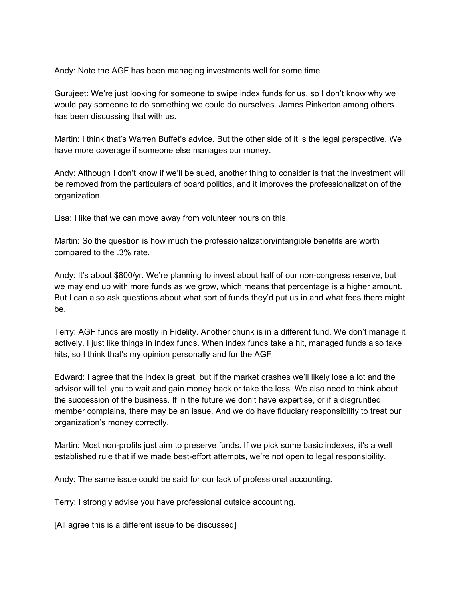Andy: Note the AGF has been managing investments well for some time.

Gurujeet: We're just looking for someone to swipe index funds for us, so I don't know why we would pay someone to do something we could do ourselves. James Pinkerton among others has been discussing that with us.

Martin: I think that's Warren Buffet's advice. But the other side of it is the legal perspective. We have more coverage if someone else manages our money.

Andy: Although I don't know if we'll be sued, another thing to consider is that the investment will be removed from the particulars of board politics, and it improves the professionalization of the organization.

Lisa: I like that we can move away from volunteer hours on this.

Martin: So the question is how much the professionalization/intangible benefits are worth compared to the .3% rate.

Andy: It's about \$800/yr. We're planning to invest about half of our non-congress reserve, but we may end up with more funds as we grow, which means that percentage is a higher amount. But I can also ask questions about what sort of funds they'd put us in and what fees there might be.

Terry: AGF funds are mostly in Fidelity. Another chunk is in a different fund. We don't manage it actively. I just like things in index funds. When index funds take a hit, managed funds also take hits, so I think that's my opinion personally and for the AGF

Edward: I agree that the index is great, but if the market crashes we'll likely lose a lot and the advisor will tell you to wait and gain money back or take the loss. We also need to think about the succession of the business. If in the future we don't have expertise, or if a disgruntled member complains, there may be an issue. And we do have fiduciary responsibility to treat our organization's money correctly.

Martin: Most non-profits just aim to preserve funds. If we pick some basic indexes, it's a well established rule that if we made best-effort attempts, we're not open to legal responsibility.

Andy: The same issue could be said for our lack of professional accounting.

Terry: I strongly advise you have professional outside accounting.

[All agree this is a different issue to be discussed]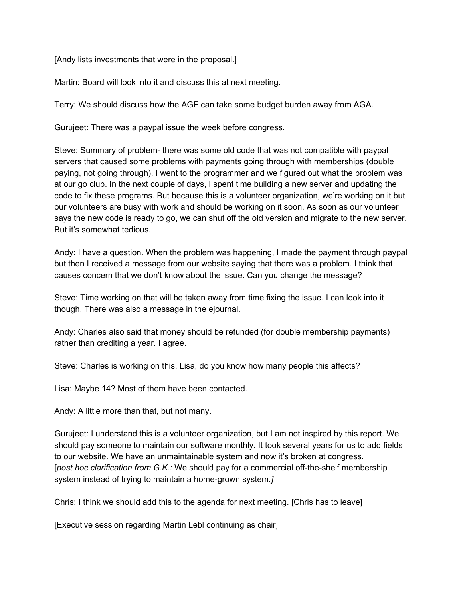[Andy lists investments that were in the proposal.]

Martin: Board will look into it and discuss this at next meeting.

Terry: We should discuss how the AGF can take some budget burden away from AGA.

Gurujeet: There was a paypal issue the week before congress.

Steve: Summary of problem- there was some old code that was not compatible with paypal servers that caused some problems with payments going through with memberships (double paying, not going through). I went to the programmer and we figured out what the problem was at our go club. In the next couple of days, I spent time building a new server and updating the code to fix these programs. But because this is a volunteer organization, we're working on it but our volunteers are busy with work and should be working on it soon. As soon as our volunteer says the new code is ready to go, we can shut off the old version and migrate to the new server. But it's somewhat tedious.

Andy: I have a question. When the problem was happening, I made the payment through paypal but then I received a message from our website saying that there was a problem. I think that causes concern that we don't know about the issue. Can you change the message?

Steve: Time working on that will be taken away from time fixing the issue. I can look into it though. There was also a message in the ejournal.

Andy: Charles also said that money should be refunded (for double membership payments) rather than crediting a year. I agree.

Steve: Charles is working on this. Lisa, do you know how many people this affects?

Lisa: Maybe 14? Most of them have been contacted.

Andy: A little more than that, but not many.

Gurujeet: I understand this is a volunteer organization, but I am not inspired by this report. We should pay someone to maintain our software monthly. It took several years for us to add fields to our website. We have an unmaintainable system and now it's broken at congress. [*post hoc clarification from G.K.:* We should pay for a commercial off-the-shelf membership system instead of trying to maintain a home-grown system.*]*

Chris: I think we should add this to the agenda for next meeting. [Chris has to leave]

[Executive session regarding Martin Lebl continuing as chair]